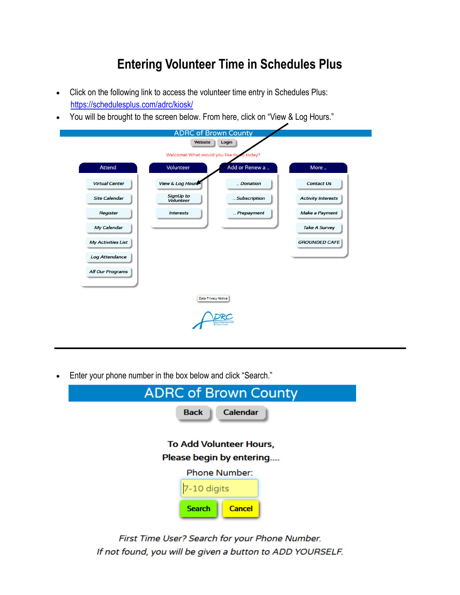## **Entering Volunteer Time in Schedules Plus**

- Click on the following link to access the volunteer time entry in Schedules Plus: https://schedulesplus.com/adrc/kiosk/
- You will be brought to the screen below. From here, click on "View & Log Hours."

|                           | <b>ADRC of Brown County</b>          |                     |                           |
|---------------------------|--------------------------------------|---------------------|---------------------------|
|                           | Website                              | Login               |                           |
|                           | Welcome! What would you like to      | today?              |                           |
| Attend                    | Volunteer                            | Add or Renew a      | More                      |
| <b>Virtual Center</b>     | View & Log Hours                     | Donation            | <b>Contact Us</b>         |
| <b>Site Calendar</b>      | <b>SignUp to</b><br><b>Volunteer</b> | Subscription        | <b>Activity Interests</b> |
| <b>Register</b>           | <b>Interests</b>                     | Prepayment          | <b>Make a Payment</b>     |
| My Calendar               |                                      |                     | <b>Take A Survey</b>      |
| <b>My Activities List</b> |                                      |                     | <b>GROUNDED CAFE</b>      |
| <b>Log Attendance</b>     |                                      |                     |                           |
| <b>All Our Programs</b>   |                                      |                     |                           |
|                           |                                      |                     |                           |
|                           | <b>Data Privacy Notice</b>           |                     |                           |
|                           |                                      | <b>Brown County</b> |                           |

Enter your phone number in the box below and click "Search."

| <b>ADRC of Brown County</b>                                |  |  |
|------------------------------------------------------------|--|--|
| <b>Back</b><br><b>Calendar</b>                             |  |  |
| <b>To Add Volunteer Hours,</b><br>Please begin by entering |  |  |
| <b>Phone Number:</b>                                       |  |  |
| 7-10 digits                                                |  |  |
| <b>Search</b><br><b>Cancel</b>                             |  |  |

First Time User? Search for your Phone Number. If not found, you will be given a button to ADD YOURSELF.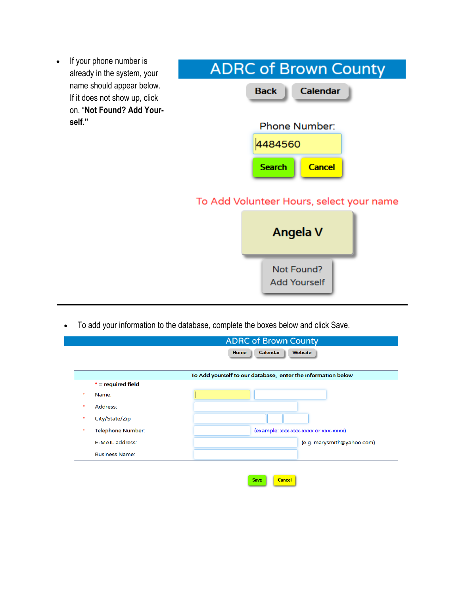| If your phone number is<br>$\bullet$                                                    |                                          |  |  |  |
|-----------------------------------------------------------------------------------------|------------------------------------------|--|--|--|
| already in the system, your                                                             | <b>ADRC of Brown County</b>              |  |  |  |
| name should appear below.<br>If it does not show up, click<br>on, "Not Found? Add Your- | <b>Calendar</b><br><b>Back</b>           |  |  |  |
| self."                                                                                  | <b>Phone Number:</b>                     |  |  |  |
|                                                                                         | 4484560                                  |  |  |  |
|                                                                                         | <b>Search</b><br><b>Cancel</b>           |  |  |  |
|                                                                                         | To Add Volunteer Hours, select your name |  |  |  |
|                                                                                         | Angela V                                 |  |  |  |
|                                                                                         | Not Found?<br><b>Add Yourself</b>        |  |  |  |

To add your information to the database, complete the boxes below and click Save.

|           |                       | <b>ADRC of Brown County</b>                                  |
|-----------|-----------------------|--------------------------------------------------------------|
|           |                       | <b>Calendar</b><br><b>Home</b><br><b>Website</b>             |
|           |                       | To Add yourself to our database, enter the information below |
|           | $* =$ required field  |                                                              |
| $\bullet$ | Name:                 |                                                              |
| $\bullet$ | Address:              |                                                              |
| *         | City/State/Zip        |                                                              |
| $\bullet$ | Telephone Number:     | (example: xxx-xxx-xxxx or xxx-xxxx)                          |
|           | E-MAIL address:       | (e.g. marysmith@yahoo.com)                                   |
|           | <b>Business Name:</b> |                                                              |
|           |                       |                                                              |

Save

Cancel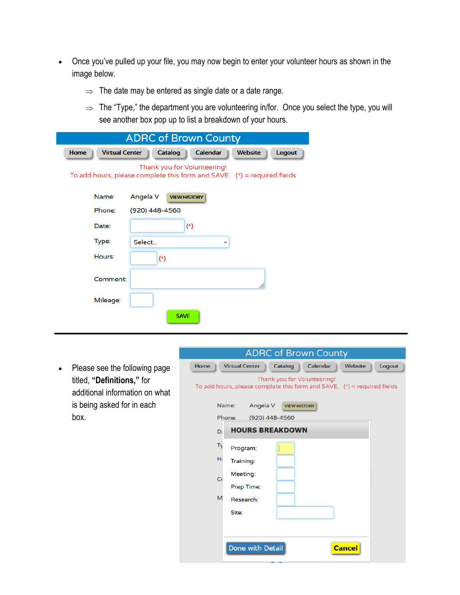- Once you've pulled up your file, you may now begin to enter your volunteer hours as shown in the image below.
	- $\Rightarrow$  The date may be entered as single date or a date range.
	- $\Rightarrow$  The "Type," the department you are volunteering in/for. Once you select the type, you will see another box pop up to list a breakdown of your hours.

| <b>ADRC of Brown County</b>                                                                              |                |                     |                |               |  |
|----------------------------------------------------------------------------------------------------------|----------------|---------------------|----------------|---------------|--|
| <b>Virtual Center</b><br>Home                                                                            | <b>Catalog</b> | <b>Calendar</b>     | <b>Website</b> | <b>Logout</b> |  |
| Thank you for Volunteering!<br>To add hours, please complete this form and SAVE. $(*)$ = required fields |                |                     |                |               |  |
| Name:                                                                                                    | Angela V       | <b>VIEW HISTORY</b> |                |               |  |
| Phone:                                                                                                   | (920) 448-4560 |                     |                |               |  |
| Date:                                                                                                    |                | $(*)$               |                |               |  |
| Type:                                                                                                    | Select         | v                   |                |               |  |
| Hours:                                                                                                   | $(*)$          |                     |                |               |  |
| Comment:                                                                                                 |                |                     |                |               |  |
| Mileage:                                                                                                 |                |                     |                |               |  |
|                                                                                                          | <b>SAVE</b>    |                     |                |               |  |

• Please see the following page titled, **"Definitions,"** for additional information on what is being asked for in each box.

| <b>ADRC of Brown County</b>                                                                              |  |  |  |  |  |
|----------------------------------------------------------------------------------------------------------|--|--|--|--|--|
| <b>Home</b><br><b>Virtual Center</b><br><b>Calendar</b><br>Logout<br>Catalog<br><b>Website</b>           |  |  |  |  |  |
| Thank you for Volunteering!<br>To add hours, please complete this form and SAVE. $(*)$ = required fields |  |  |  |  |  |
| Angela V<br>Name:<br><b>VIEW HISTORY</b>                                                                 |  |  |  |  |  |
| Phone:<br>(920) 448-4560                                                                                 |  |  |  |  |  |
| <b>HOURS BREAKDOWN</b><br>D.                                                                             |  |  |  |  |  |
| Ty<br>Program:                                                                                           |  |  |  |  |  |
| H<br>Training:                                                                                           |  |  |  |  |  |
| Meeting:<br>C <sub>0</sub>                                                                               |  |  |  |  |  |
| Prep Time:                                                                                               |  |  |  |  |  |
| M<br>Research:                                                                                           |  |  |  |  |  |
| Site:                                                                                                    |  |  |  |  |  |
|                                                                                                          |  |  |  |  |  |
|                                                                                                          |  |  |  |  |  |
| Done with Detail<br><b>Cancel</b>                                                                        |  |  |  |  |  |
|                                                                                                          |  |  |  |  |  |